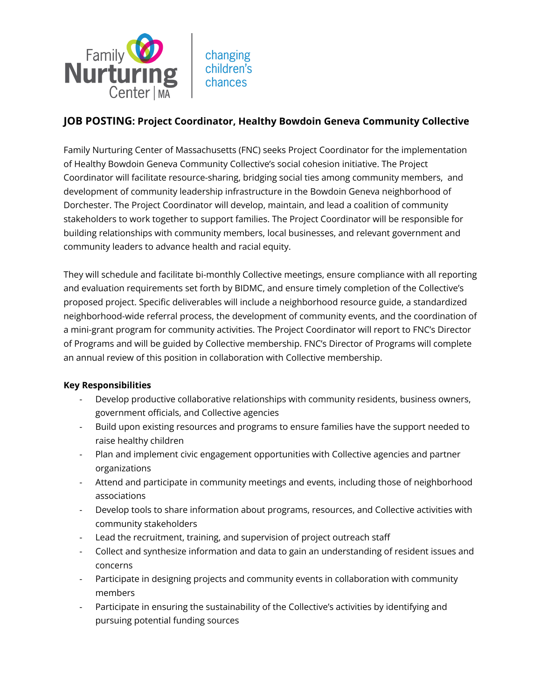

# **JOB POSTING: Project Coordinator, Healthy Bowdoin Geneva Community Collective**

Family Nurturing Center of Massachusetts (FNC) seeks Project Coordinator for the implementation of Healthy Bowdoin Geneva Community Collective's social cohesion initiative. The Project Coordinator will facilitate resource-sharing, bridging social ties among community members, and development of community leadership infrastructure in the Bowdoin Geneva neighborhood of Dorchester. The Project Coordinator will develop, maintain, and lead a coalition of community stakeholders to work together to support families. The Project Coordinator will be responsible for building relationships with community members, local businesses, and relevant government and community leaders to advance health and racial equity.

They will schedule and facilitate bi-monthly Collective meetings, ensure compliance with all reporting and evaluation requirements set forth by BIDMC, and ensure timely completion of the Collective's proposed project. Specific deliverables will include a neighborhood resource guide, a standardized neighborhood-wide referral process, the development of community events, and the coordination of a mini-grant program for community activities. The Project Coordinator will report to FNC's Director of Programs and will be guided by Collective membership. FNC's Director of Programs will complete an annual review of this position in collaboration with Collective membership.

# **Key Responsibilities**

- Develop productive collaborative relationships with community residents, business owners, government officials, and Collective agencies
- Build upon existing resources and programs to ensure families have the support needed to raise healthy children
- Plan and implement civic engagement opportunities with Collective agencies and partner organizations
- Attend and participate in community meetings and events, including those of neighborhood associations
- Develop tools to share information about programs, resources, and Collective activities with community stakeholders
- Lead the recruitment, training, and supervision of project outreach staff
- Collect and synthesize information and data to gain an understanding of resident issues and concerns
- Participate in designing projects and community events in collaboration with community members
- Participate in ensuring the sustainability of the Collective's activities by identifying and pursuing potential funding sources